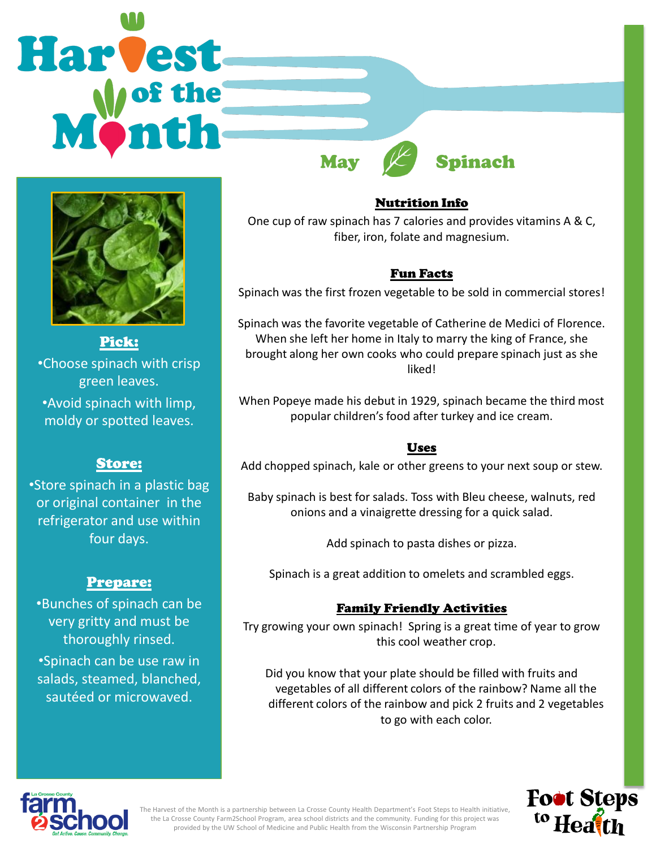



Pick: •Choose spinach with crisp green leaves. •Avoid spinach with limp, moldy or spotted leaves.

# Store:

•Store spinach in a plastic bag or original container in the refrigerator and use within four days.

# Prepare:

•Bunches of spinach can be very gritty and must be thoroughly rinsed.

•Spinach can be use raw in salads, steamed, blanched, sautéed or microwaved.

## Nutrition Info

One cup of raw spinach has 7 calories and provides vitamins A & C, fiber, iron, folate and magnesium.

# Fun Facts

Spinach was the first frozen vegetable to be sold in commercial stores!

Spinach was the favorite vegetable of Catherine de Medici of Florence. When she left her home in Italy to marry the king of France, she brought along her own cooks who could prepare spinach just as she liked!

When Popeye made his debut in 1929, spinach became the third most popular children's food after turkey and ice cream.

## Uses

Add chopped spinach, kale or other greens to your next soup or stew.

Baby spinach is best for salads. Toss with Bleu cheese, walnuts, red onions and a vinaigrette dressing for a quick salad.

Add spinach to pasta dishes or pizza.

Spinach is a great addition to omelets and scrambled eggs.

# Family Friendly Activities

Try growing your own spinach! Spring is a great time of year to grow this cool weather crop.

Did you know that your plate should be filled with fruits and vegetables of all different colors of the rainbow? Name all the different colors of the rainbow and pick 2 fruits and 2 vegetables to go with each color.





The Harvest of the Month is a partnership between La Crosse County Health Department's Foot Steps to Health initiative, the La Crosse County Farm2School Program, area school districts and the community. Funding for this project was provided by the UW School of Medicine and Public Health from the Wisconsin Partnership Program